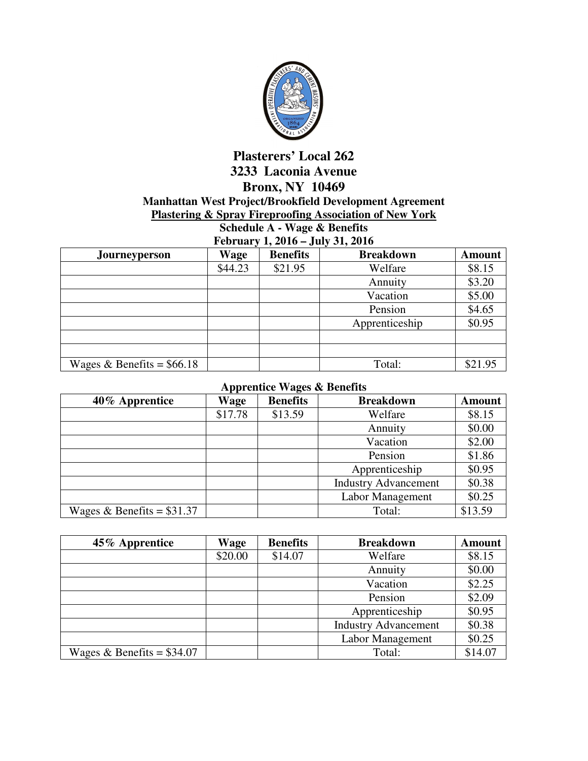

## **Plasterers' Local 262 3233 Laconia Avenue Bronx, NY 10469 Manhattan West Project/Brookfield Development Agreement Plastering & Spray Fireproofing Association of New York**

**Schedule A - Wage & Benefits February 1, 2016 – July 31, 2016** 

| $1001$ aut $7100$<br>$0$ any $0$ as $-0$ and |         |                 |                  |               |
|----------------------------------------------|---------|-----------------|------------------|---------------|
| <b>Journeyperson</b>                         | Wage    | <b>Benefits</b> | <b>Breakdown</b> | <b>Amount</b> |
|                                              | \$44.23 | \$21.95         | Welfare          | \$8.15        |
|                                              |         |                 | Annuity          | \$3.20        |
|                                              |         |                 | Vacation         | \$5.00        |
|                                              |         |                 | Pension          | \$4.65        |
|                                              |         |                 | Apprenticeship   | \$0.95        |
|                                              |         |                 |                  |               |
|                                              |         |                 |                  |               |
| Wages & Benefits = $$66.18$                  |         |                 | Total:           | \$21.95       |

## **Apprentice Wages & Benefits**

| 40% Apprentice              | Wage    | <b>Benefits</b> | <b>Breakdown</b>            | <b>Amount</b> |
|-----------------------------|---------|-----------------|-----------------------------|---------------|
|                             | \$17.78 | \$13.59         | Welfare                     | \$8.15        |
|                             |         |                 | Annuity                     | \$0.00        |
|                             |         |                 | Vacation                    | \$2.00        |
|                             |         |                 | Pension                     | \$1.86        |
|                             |         |                 | Apprenticeship              | \$0.95        |
|                             |         |                 | <b>Industry Advancement</b> | \$0.38        |
|                             |         |                 | Labor Management            | \$0.25        |
| Wages & Benefits = $$31.37$ |         |                 | Total:                      | \$13.59       |

| 45% Apprentice              | Wage    | <b>Benefits</b> | <b>Breakdown</b>            | <b>Amount</b> |
|-----------------------------|---------|-----------------|-----------------------------|---------------|
|                             | \$20.00 | \$14.07         | Welfare                     | \$8.15        |
|                             |         |                 | Annuity                     | \$0.00        |
|                             |         |                 | Vacation                    | \$2.25        |
|                             |         |                 | Pension                     | \$2.09        |
|                             |         |                 | Apprenticeship              | \$0.95        |
|                             |         |                 | <b>Industry Advancement</b> | \$0.38        |
|                             |         |                 | Labor Management            | \$0.25        |
| Wages & Benefits = $$34.07$ |         |                 | Total:                      | \$14.07       |